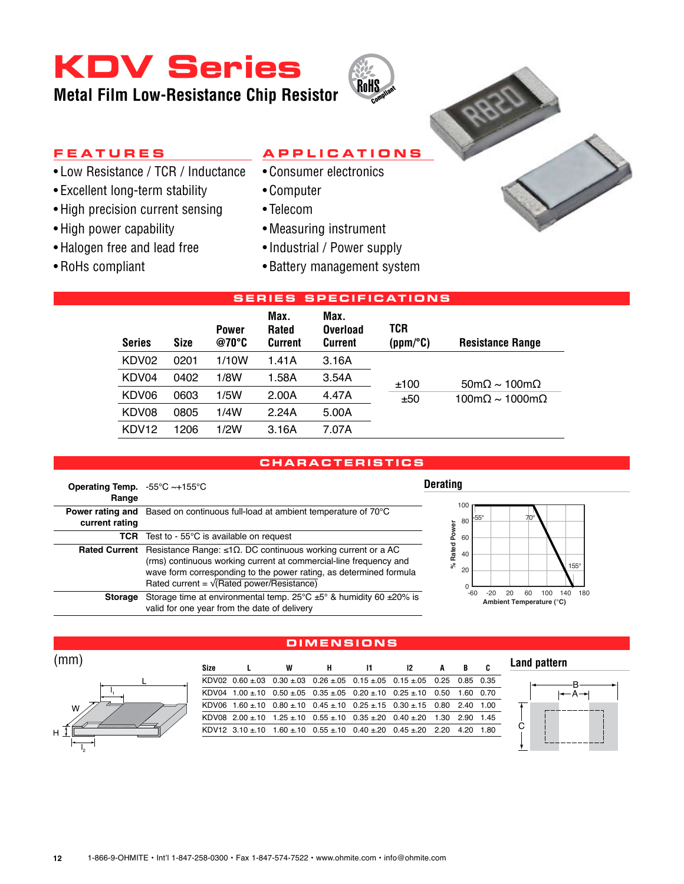## **KDV Series**

**Metal Film Low-Resistance Chip Resistor**



- • Low Resistance / TCR / Inductance
- Excellent long-term stability
- High precision current sensing
- High power capability
- • Halogen free and lead free
- • RoHs compliant

### **A p p l i c a t i o n s**

**RoHS** 

- • Consumer electronics
- • Computer
- • Telecom
- • Measuring instrument
- Industrial / Power supply
- • Battery management system

| <b>SERIES SPECIFICATIONS</b>                                                                                                                                          |      |       |       |       |      |                                               |  |  |  |  |
|-----------------------------------------------------------------------------------------------------------------------------------------------------------------------|------|-------|-------|-------|------|-----------------------------------------------|--|--|--|--|
| Max.<br>Max.<br>TCR<br><b>Rated</b><br>Overload<br><b>Power</b><br>@70°C<br>Size<br><b>Series</b><br>Current<br><b>Resistance Range</b><br><b>Current</b><br>(ppm/°C) |      |       |       |       |      |                                               |  |  |  |  |
| KDV02                                                                                                                                                                 | 0201 | 1/10W | 1.41A | 3.16A |      |                                               |  |  |  |  |
| KDV04                                                                                                                                                                 | 0402 | 1/8W  | 1.58A | 3.54A | ±100 | $50 \text{m}\Omega \sim 100 \text{m}\Omega$   |  |  |  |  |
| KDV06                                                                                                                                                                 | 0603 | 1/5W  | 2.00A | 4.47A | ±50  | $100 \text{m}\Omega \sim 1000 \text{m}\Omega$ |  |  |  |  |
| KDV08                                                                                                                                                                 | 0805 | 1/4W  | 2.24A | 5.00A |      |                                               |  |  |  |  |
| KDV <sub>12</sub>                                                                                                                                                     | 1206 | 1/2W  | 3.16A | 7.07A |      |                                               |  |  |  |  |

### **characteri s tic s**

| Operating Temp. $-55^{\circ}$ C ~+155 $^{\circ}$ C<br>Range |                                                                                                                                                                                                                                                                          |
|-------------------------------------------------------------|--------------------------------------------------------------------------------------------------------------------------------------------------------------------------------------------------------------------------------------------------------------------------|
| Power rating and<br>current rating                          | Based on continuous full-load at ambient temperature of 70°C                                                                                                                                                                                                             |
|                                                             | <b>TCR</b> Test to - 55 $^{\circ}$ C is available on request                                                                                                                                                                                                             |
| <b>Rated Current</b>                                        | Resistance Range: $\leq 1\Omega$ . DC continuous working current or a AC<br>(rms) continuous working current at commercial-line frequency and<br>wave form corresponding to the power rating, as determined formula<br>Rated current = $\sqrt{(Rated) power/Resistance}$ |
| <b>Storage</b>                                              | Storage time at environmental temp. $25^{\circ}$ C $\pm 5^{\circ}$ & humidity 60 $\pm 20\%$ is<br>valid for one year from the date of delivery                                                                                                                           |







l 2

| (mm) |       |                        |   |  |                                                                                                       |   |           |    |
|------|-------|------------------------|---|--|-------------------------------------------------------------------------------------------------------|---|-----------|----|
|      | Size  |                        | W |  | 12                                                                                                    | A | B.        | C. |
|      |       |                        |   |  | KDV02 $0.60 \pm .03$ $0.30 \pm .03$ $0.26 \pm .05$ $0.15 \pm .05$ $0.15 \pm .05$ $0.25$ $0.85$ $0.35$ |   |           |    |
|      | KDV04 |                        |   |  | $1.00 \pm 10$ 0.50 $\pm .05$ 0.35 $\pm .05$ 0.20 $\pm .10$ 0.25 $\pm .10$ 0.50                        |   | 1.60 0.70 |    |
| W    |       |                        |   |  | KDV06 1.60 ± 10 0.80 ± 10 0.45 ± 10 0.25 ± 15 0.30 ± 15 0.80 2.40 1.00                                |   |           |    |
|      |       |                        |   |  | KDV08 2.00 ± 10 1.25 ± 10 0.55 ± 10 0.35 ± 20 0.40 ± 20 1.30 2.90 1.45                                |   |           |    |
|      |       | $KDV12 \cdot 310 + 10$ |   |  | $1.60 \pm 10$ 0.55 $\pm$ 10 0.40 $\pm$ 20 0.45 $\pm$ 20 2.20                                          |   | 4.20 1.80 |    |

**d imen s ion s**

**Land pattern**



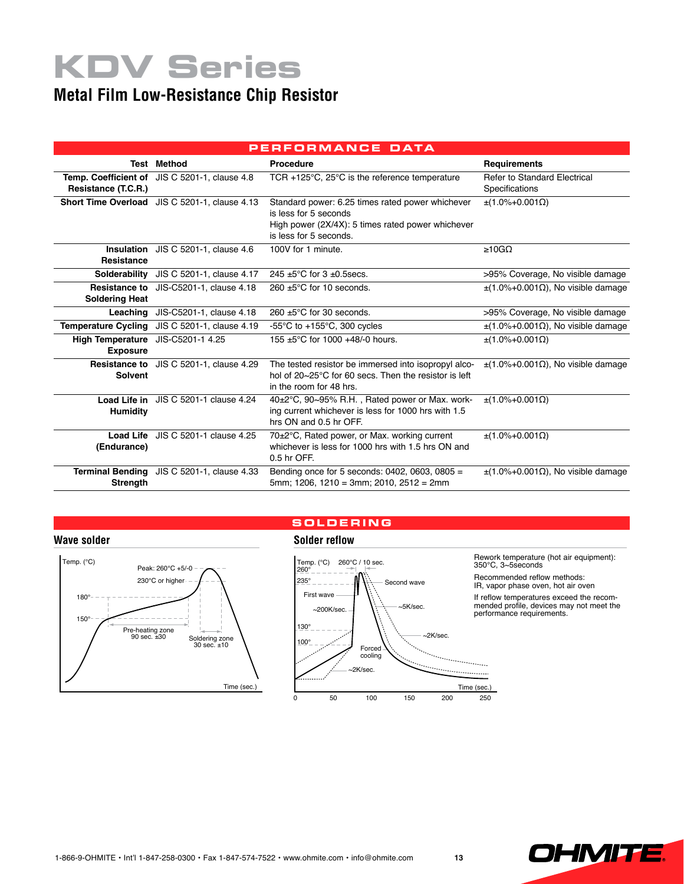# **KDV Series**

### **Metal Film Low-Resistance Chip Resistor**

| PERFORMANCE DATA                                     |                                                |                                                                                                                                                          |                                                 |  |  |  |  |  |  |
|------------------------------------------------------|------------------------------------------------|----------------------------------------------------------------------------------------------------------------------------------------------------------|-------------------------------------------------|--|--|--|--|--|--|
|                                                      | <b>Test Method</b>                             | Procedure                                                                                                                                                | <b>Requirements</b>                             |  |  |  |  |  |  |
| Resistance (T.C.R.)                                  | Temp. Coefficient of JIS C 5201-1, clause 4.8  | TCR +125 $\degree$ C, 25 $\degree$ C is the reference temperature                                                                                        | Refer to Standard Electrical<br>Specifications  |  |  |  |  |  |  |
|                                                      | Short Time Overload JIS C 5201-1, clause 4.13  | Standard power: 6.25 times rated power whichever<br>is less for 5 seconds<br>High power (2X/4X): 5 times rated power whichever<br>is less for 5 seconds. | $\pm$ (1.0%+0.001 $\Omega$ )                    |  |  |  |  |  |  |
| <b>Resistance</b>                                    | <b>Insulation</b> JIS C 5201-1, clause 4.6     | 100V for 1 minute.                                                                                                                                       | $\geq 10$ GQ                                    |  |  |  |  |  |  |
| Solderability                                        | JIS C 5201-1, clause 4.17                      | 245 $\pm$ 5°C for 3 $\pm$ 0.5 secs.                                                                                                                      | >95% Coverage, No visible damage                |  |  |  |  |  |  |
| <b>Resistance to</b><br><b>Soldering Heat</b>        | JIS-C5201-1, clause 4.18                       | $260 \pm 5^{\circ}$ C for 10 seconds.                                                                                                                    | $\pm$ (1.0%+0.001 $\Omega$ ). No visible damage |  |  |  |  |  |  |
| Leaching                                             | JIS-C5201-1, clause 4.18                       | $260 \pm 5^{\circ}$ C for 30 seconds.                                                                                                                    | >95% Coverage, No visible damage                |  |  |  |  |  |  |
| <b>Temperature Cycling</b>                           | JIS C 5201-1, clause 4.19                      | -55 $\degree$ C to +155 $\degree$ C, 300 cycles                                                                                                          | $\pm$ (1.0%+0.001 $\Omega$ ). No visible damage |  |  |  |  |  |  |
| High Temperature JIS-C5201-1 4.25<br><b>Exposure</b> |                                                | 155 ±5°C for 1000 +48/-0 hours.                                                                                                                          | $\pm$ (1.0%+0.001 $\Omega$ )                    |  |  |  |  |  |  |
| <b>Solvent</b>                                       | <b>Resistance to</b> JIS C 5201-1, clause 4.29 | The tested resistor be immersed into isopropyl alco-<br>hol of 20~25°C for 60 secs. Then the resistor is left<br>in the room for 48 hrs.                 | $\pm$ (1.0%+0.001 $\Omega$ ). No visible damage |  |  |  |  |  |  |
| <b>Humidity</b>                                      | Load Life in JIS C 5201-1 clause 4.24          | 40±2°C, 90~95% R.H., Rated power or Max. work-<br>ing current whichever is less for 1000 hrs with 1.5<br>hrs ON and 0.5 hr OFF.                          | $\pm$ (1.0%+0.001Ω)                             |  |  |  |  |  |  |
| (Endurance)                                          | Load Life JIS C 5201-1 clause 4.25             | 70±2°C, Rated power, or Max. working current<br>whichever is less for 1000 hrs with 1.5 hrs ON and<br>0.5 hr OFF.                                        | $\pm$ (1.0%+0.001Ω)                             |  |  |  |  |  |  |
| Strength                                             | Terminal Bending JIS C 5201-1, clause 4.33     | Bending once for 5 seconds: 0402, 0603, 0805 =<br>5mm; 1206, 1210 = 3mm; 2010, 2512 = 2mm                                                                | $\pm$ (1.0%+0.001 $\Omega$ ), No visible damage |  |  |  |  |  |  |

### **Wave solder Solder reflow**



### **s o l d ering**



Rework temperature (hot air equipment): 350℃, 3~5seconds

Recommended reflow methods: IR, vapor phase oven, hot air oven

If reflow temperatures exceed the recommended profile, devices may not meet the performance requirements.